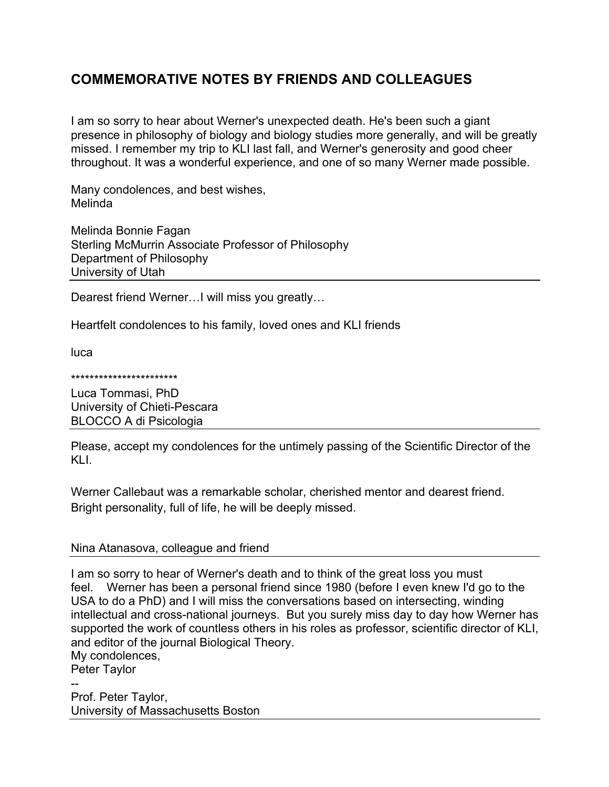# **COMMEMORATIVE NOTES BY FRIENDS AND COLLEAGUES**

I am so sorry to hear about Werner's unexpected death. He's been such a giant presence in philosophy of biology and biology studies more generally, and will be greatly missed. I remember my trip to KLI last fall, and Werner's generosity and good cheer throughout. It was a wonderful experience, and one of so many Werner made possible.

Many condolences, and best wishes, Melinda

Melinda Bonnie Fagan Sterling McMurrin Associate Professor of Philosophy Department of Philosophy University of Utah

Dearest friend Werner…I will miss you greatly…

Heartfelt condolences to his family, loved ones and KLI friends

luca

#### \*\*\*\*\*\*\*\*\*\*\*\*\*\*\*\*\*\*\*\*\*\*\*

Luca Tommasi, PhD University of Chieti-Pescara BLOCCO A di Psicologia

Please, accept my condolences for the untimely passing of the Scientific Director of the KLI.

Werner Callebaut was a remarkable scholar, cherished mentor and dearest friend. Bright personality, full of life, he will be deeply missed.

# Nina Atanasova, colleague and friend

I am so sorry to hear of Werner's death and to think of the great loss you must feel. Werner has been a personal friend since 1980 (before I even knew I'd go to the USA to do a PhD) and I will miss the conversations based on intersecting, winding intellectual and cross-national journeys. But you surely miss day to day how Werner has supported the work of countless others in his roles as professor, scientific director of KLI, and editor of the journal Biological Theory.

My condolences,

Peter Taylor

-- Prof. Peter Taylor, University of Massachusetts Boston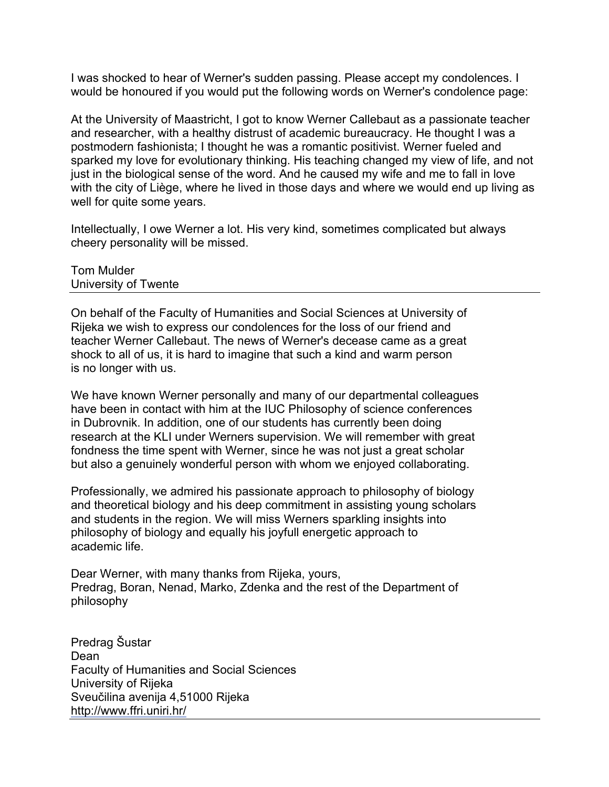I was shocked to hear of Werner's sudden passing. Please accept my condolences. I would be honoured if you would put the following words on Werner's condolence page:

At the University of Maastricht, I got to know Werner Callebaut as a passionate teacher and researcher, with a healthy distrust of academic bureaucracy. He thought I was a postmodern fashionista; I thought he was a romantic positivist. Werner fueled and sparked my love for evolutionary thinking. His teaching changed my view of life, and not just in the biological sense of the word. And he caused my wife and me to fall in love with the city of Liège, where he lived in those days and where we would end up living as well for quite some years.

Intellectually, I owe Werner a lot. His very kind, sometimes complicated but always cheery personality will be missed.

Tom Mulder University of Twente

On behalf of the Faculty of Humanities and Social Sciences at University of Rijeka we wish to express our condolences for the loss of our friend and teacher Werner Callebaut. The news of Werner's decease came as a great shock to all of us, it is hard to imagine that such a kind and warm person is no longer with us.

We have known Werner personally and many of our departmental colleagues have been in contact with him at the IUC Philosophy of science conferences in Dubrovnik. In addition, one of our students has currently been doing research at the KLI under Werners supervision. We will remember with great fondness the time spent with Werner, since he was not just a great scholar but also a genuinely wonderful person with whom we enjoyed collaborating.

Professionally, we admired his passionate approach to philosophy of biology and theoretical biology and his deep commitment in assisting young scholars and students in the region. We will miss Werners sparkling insights into philosophy of biology and equally his joyfull energetic approach to academic life.

Dear Werner, with many thanks from Rijeka, yours, Predrag, Boran, Nenad, Marko, Zdenka and the rest of the Department of philosophy

Predrag Šustar Dean Faculty of Humanities and Social Sciences University of Rijeka Sveučilina avenija 4,51000 Rijeka http://www.ffri.uniri.hr/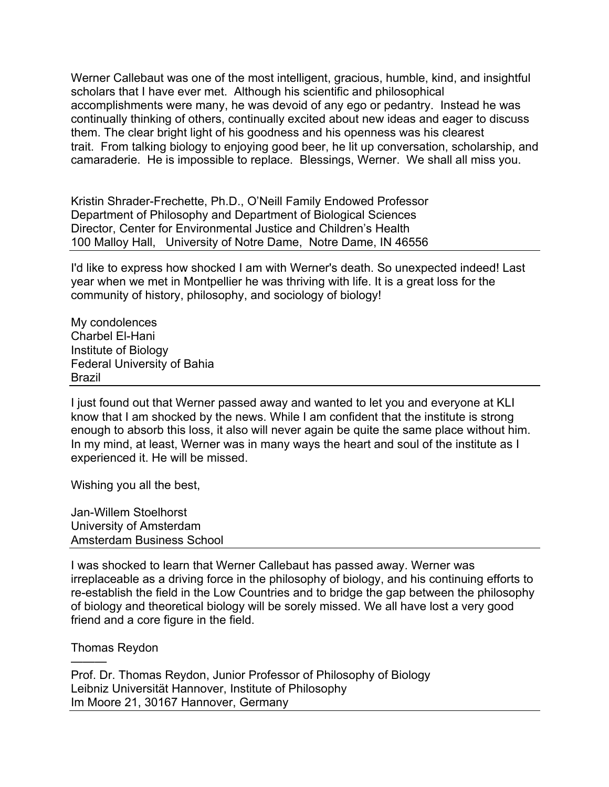Werner Callebaut was one of the most intelligent, gracious, humble, kind, and insightful scholars that I have ever met. Although his scientific and philosophical accomplishments were many, he was devoid of any ego or pedantry. Instead he was continually thinking of others, continually excited about new ideas and eager to discuss them. The clear bright light of his goodness and his openness was his clearest trait. From talking biology to enjoying good beer, he lit up conversation, scholarship, and camaraderie. He is impossible to replace. Blessings, Werner. We shall all miss you.

Kristin Shrader-Frechette, Ph.D., O'Neill Family Endowed Professor Department of Philosophy and Department of Biological Sciences Director, Center for Environmental Justice and Children's Health 100 Malloy Hall, University of Notre Dame, Notre Dame, IN 46556

I'd like to express how shocked I am with Werner's death. So unexpected indeed! Last year when we met in Montpellier he was thriving with life. It is a great loss for the community of history, philosophy, and sociology of biology!

My condolences Charbel El-Hani Institute of Biology Federal University of Bahia Brazil

I just found out that Werner passed away and wanted to let you and everyone at KLI know that I am shocked by the news. While I am confident that the institute is strong enough to absorb this loss, it also will never again be quite the same place without him. In my mind, at least, Werner was in many ways the heart and soul of the institute as I experienced it. He will be missed.

Wishing you all the best,

Jan-Willem Stoelhorst University of Amsterdam Amsterdam Business School

I was shocked to learn that Werner Callebaut has passed away. Werner was irreplaceable as a driving force in the philosophy of biology, and his continuing efforts to re-establish the field in the Low Countries and to bridge the gap between the philosophy of biology and theoretical biology will be sorely missed. We all have lost a very good friend and a core figure in the field.

Thomas Reydon

———

Prof. Dr. Thomas Reydon, Junior Professor of Philosophy of Biology Leibniz Universität Hannover, Institute of Philosophy Im Moore 21, 30167 Hannover, Germany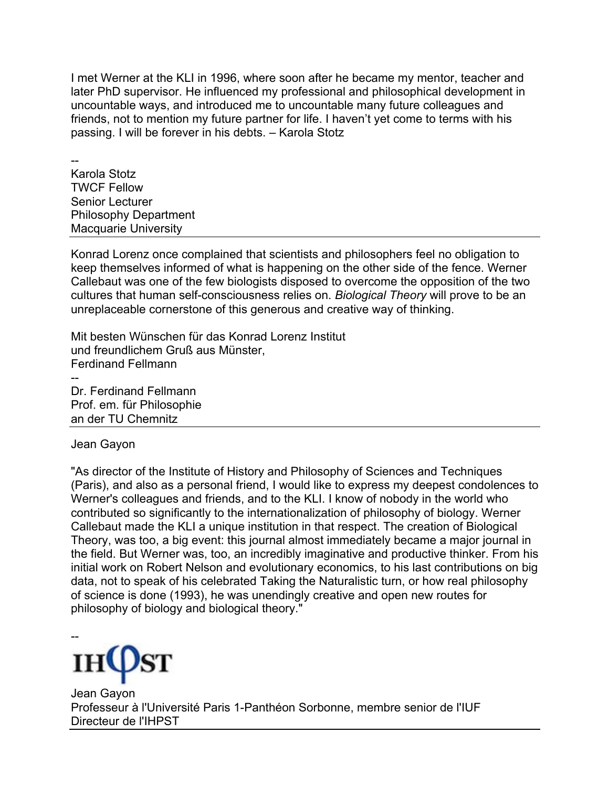I met Werner at the KLI in 1996, where soon after he became my mentor, teacher and later PhD supervisor. He influenced my professional and philosophical development in uncountable ways, and introduced me to uncountable many future colleagues and friends, not to mention my future partner for life. I haven't yet come to terms with his passing. I will be forever in his debts. – Karola Stotz

-- Karola Stotz TWCF Fellow Senior Lecturer Philosophy Department Macquarie University

Konrad Lorenz once complained that scientists and philosophers feel no obligation to keep themselves informed of what is happening on the other side of the fence. Werner Callebaut was one of the few biologists disposed to overcome the opposition of the two cultures that human self-consciousness relies on. *Biological Theory* will prove to be an unreplaceable cornerstone of this generous and creative way of thinking.

Mit besten Wünschen für das Konrad Lorenz Institut und freundlichem Gruß aus Münster, Ferdinand Fellmann -- Dr. Ferdinand Fellmann Prof. em. für Philosophie an der TU Chemnitz

Jean Gayon

"As director of the Institute of History and Philosophy of Sciences and Techniques (Paris), and also as a personal friend, I would like to express my deepest condolences to Werner's colleagues and friends, and to the KLI. I know of nobody in the world who contributed so significantly to the internationalization of philosophy of biology. Werner Callebaut made the KLI a unique institution in that respect. The creation of Biological Theory, was too, a big event: this journal almost immediately became a major journal in the field. But Werner was, too, an incredibly imaginative and productive thinker. From his initial work on Robert Nelson and evolutionary economics, to his last contributions on big data, not to speak of his celebrated Taking the Naturalistic turn, or how real philosophy of science is done (1993), he was unendingly creative and open new routes for philosophy of biology and biological theory."



Jean Gayon Professeur à l'Université Paris 1-Panthéon Sorbonne, membre senior de l'IUF Directeur de l'IHPST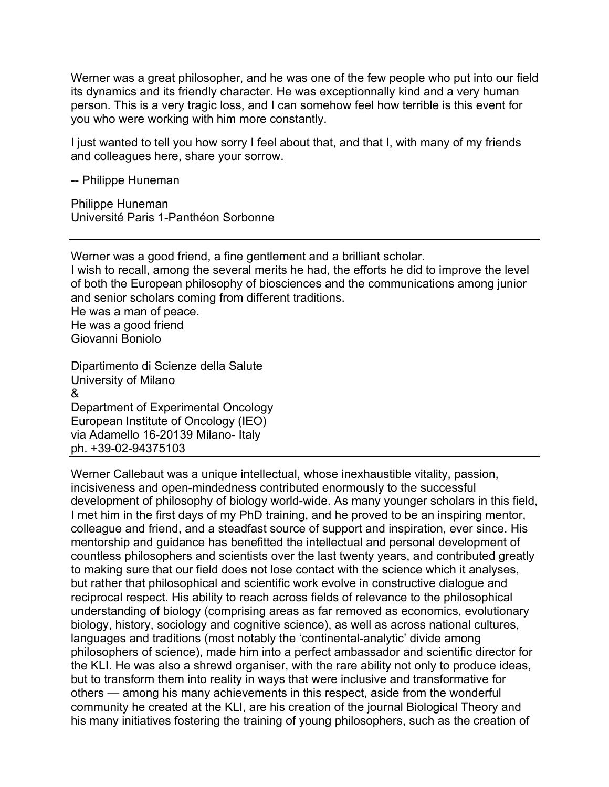Werner was a great philosopher, and he was one of the few people who put into our field its dynamics and its friendly character. He was exceptionnally kind and a very human person. This is a very tragic loss, and I can somehow feel how terrible is this event for you who were working with him more constantly.

I just wanted to tell you how sorry I feel about that, and that I, with many of my friends and colleagues here, share your sorrow.

-- Philippe Huneman

Philippe Huneman Université Paris 1-Panthéon Sorbonne

Werner was a good friend, a fine gentlement and a brilliant scholar. I wish to recall, among the several merits he had, the efforts he did to improve the level of both the European philosophy of biosciences and the communications among junior and senior scholars coming from different traditions. He was a man of peace. He was a good friend Giovanni Boniolo

Dipartimento di Scienze della Salute University of Milano & Department of Experimental Oncology European Institute of Oncology (IEO) via Adamello 16-20139 Milano- Italy ph. +39-02-94375103

Werner Callebaut was a unique intellectual, whose inexhaustible vitality, passion, incisiveness and open-mindedness contributed enormously to the successful development of philosophy of biology world-wide. As many younger scholars in this field, I met him in the first days of my PhD training, and he proved to be an inspiring mentor, colleague and friend, and a steadfast source of support and inspiration, ever since. His mentorship and guidance has benefitted the intellectual and personal development of countless philosophers and scientists over the last twenty years, and contributed greatly to making sure that our field does not lose contact with the science which it analyses, but rather that philosophical and scientific work evolve in constructive dialogue and reciprocal respect. His ability to reach across fields of relevance to the philosophical understanding of biology (comprising areas as far removed as economics, evolutionary biology, history, sociology and cognitive science), as well as across national cultures, languages and traditions (most notably the 'continental-analytic' divide among philosophers of science), made him into a perfect ambassador and scientific director for the KLI. He was also a shrewd organiser, with the rare ability not only to produce ideas, but to transform them into reality in ways that were inclusive and transformative for others — among his many achievements in this respect, aside from the wonderful community he created at the KLI, are his creation of the journal Biological Theory and his many initiatives fostering the training of young philosophers, such as the creation of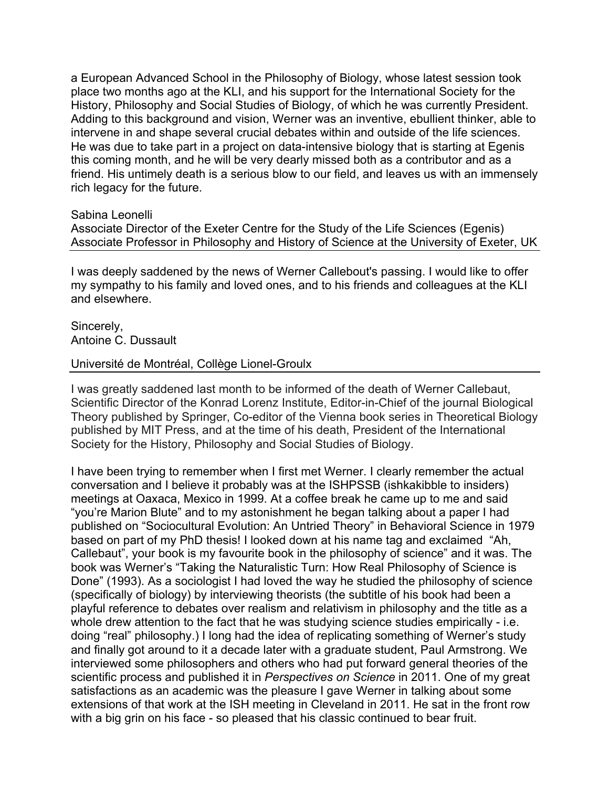a European Advanced School in the Philosophy of Biology, whose latest session took place two months ago at the KLI, and his support for the International Society for the History, Philosophy and Social Studies of Biology, of which he was currently President. Adding to this background and vision, Werner was an inventive, ebullient thinker, able to intervene in and shape several crucial debates within and outside of the life sciences. He was due to take part in a project on data-intensive biology that is starting at Egenis this coming month, and he will be very dearly missed both as a contributor and as a friend. His untimely death is a serious blow to our field, and leaves us with an immensely rich legacy for the future.

#### Sabina Leonelli

Associate Director of the Exeter Centre for the Study of the Life Sciences (Egenis) Associate Professor in Philosophy and History of Science at the University of Exeter, UK

I was deeply saddened by the news of Werner Callebout's passing. I would like to offer my sympathy to his family and loved ones, and to his friends and colleagues at the KLI and elsewhere.

Sincerely, Antoine C. Dussault

## Université de Montréal, Collège Lionel-Groulx

I was greatly saddened last month to be informed of the death of Werner Callebaut, Scientific Director of the Konrad Lorenz Institute, Editor-in-Chief of the journal Biological Theory published by Springer, Co-editor of the Vienna book series in Theoretical Biology published by MIT Press, and at the time of his death, President of the International Society for the History, Philosophy and Social Studies of Biology.

I have been trying to remember when I first met Werner. I clearly remember the actual conversation and I believe it probably was at the ISHPSSB (ishkakibble to insiders) meetings at Oaxaca, Mexico in 1999. At a coffee break he came up to me and said "you're Marion Blute" and to my astonishment he began talking about a paper I had published on "Sociocultural Evolution: An Untried Theory" in Behavioral Science in 1979 based on part of my PhD thesis! I looked down at his name tag and exclaimed "Ah, Callebaut", your book is my favourite book in the philosophy of science" and it was. The book was Werner's "Taking the Naturalistic Turn: How Real Philosophy of Science is Done" (1993). As a sociologist I had loved the way he studied the philosophy of science (specifically of biology) by interviewing theorists (the subtitle of his book had been a playful reference to debates over realism and relativism in philosophy and the title as a whole drew attention to the fact that he was studying science studies empirically - i.e. doing "real" philosophy.) I long had the idea of replicating something of Werner's study and finally got around to it a decade later with a graduate student, Paul Armstrong. We interviewed some philosophers and others who had put forward general theories of the scientific process and published it in *Perspectives on Science* in 2011. One of my great satisfactions as an academic was the pleasure I gave Werner in talking about some extensions of that work at the ISH meeting in Cleveland in 2011. He sat in the front row with a big grin on his face - so pleased that his classic continued to bear fruit.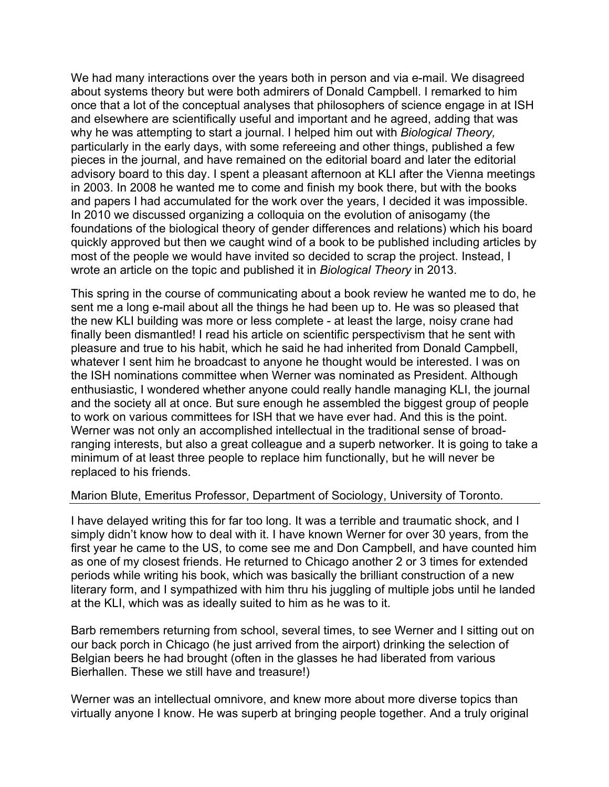We had many interactions over the years both in person and via e-mail. We disagreed about systems theory but were both admirers of Donald Campbell. I remarked to him once that a lot of the conceptual analyses that philosophers of science engage in at ISH and elsewhere are scientifically useful and important and he agreed, adding that was why he was attempting to start a journal. I helped him out with *Biological Theory,*  particularly in the early days, with some refereeing and other things, published a few pieces in the journal, and have remained on the editorial board and later the editorial advisory board to this day. I spent a pleasant afternoon at KLI after the Vienna meetings in 2003. In 2008 he wanted me to come and finish my book there, but with the books and papers I had accumulated for the work over the years, I decided it was impossible. In 2010 we discussed organizing a colloquia on the evolution of anisogamy (the foundations of the biological theory of gender differences and relations) which his board quickly approved but then we caught wind of a book to be published including articles by most of the people we would have invited so decided to scrap the project. Instead, I wrote an article on the topic and published it in *Biological Theory* in 2013.

This spring in the course of communicating about a book review he wanted me to do, he sent me a long e-mail about all the things he had been up to. He was so pleased that the new KLI building was more or less complete - at least the large, noisy crane had finally been dismantled! I read his article on scientific perspectivism that he sent with pleasure and true to his habit, which he said he had inherited from Donald Campbell, whatever I sent him he broadcast to anyone he thought would be interested. I was on the ISH nominations committee when Werner was nominated as President. Although enthusiastic, I wondered whether anyone could really handle managing KLI, the journal and the society all at once. But sure enough he assembled the biggest group of people to work on various committees for ISH that we have ever had. And this is the point. Werner was not only an accomplished intellectual in the traditional sense of broadranging interests, but also a great colleague and a superb networker. It is going to take a minimum of at least three people to replace him functionally, but he will never be replaced to his friends.

# Marion Blute, Emeritus Professor, Department of Sociology, University of Toronto.

I have delayed writing this for far too long. It was a terrible and traumatic shock, and I simply didn't know how to deal with it. I have known Werner for over 30 years, from the first year he came to the US, to come see me and Don Campbell, and have counted him as one of my closest friends. He returned to Chicago another 2 or 3 times for extended periods while writing his book, which was basically the brilliant construction of a new literary form, and I sympathized with him thru his juggling of multiple jobs until he landed at the KLI, which was as ideally suited to him as he was to it.

Barb remembers returning from school, several times, to see Werner and I sitting out on our back porch in Chicago (he just arrived from the airport) drinking the selection of Belgian beers he had brought (often in the glasses he had liberated from various Bierhallen. These we still have and treasure!)

Werner was an intellectual omnivore, and knew more about more diverse topics than virtually anyone I know. He was superb at bringing people together. And a truly original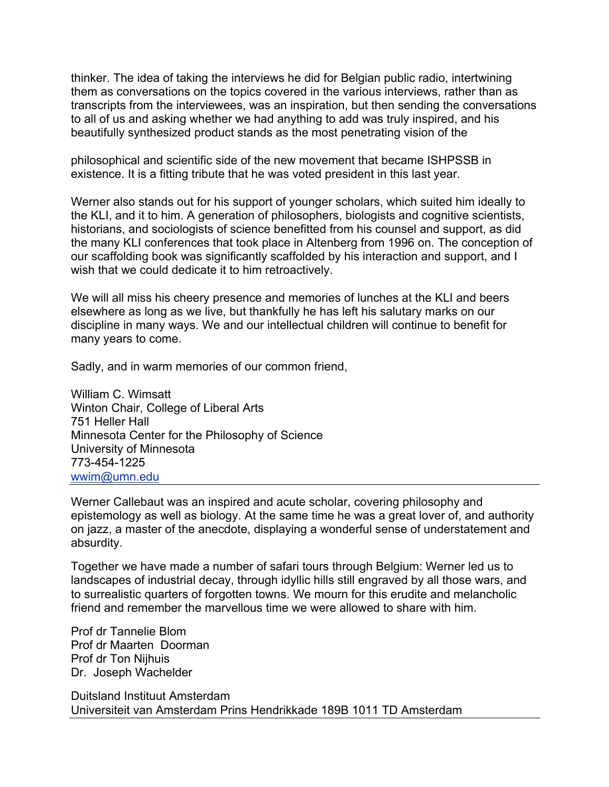thinker. The idea of taking the interviews he did for Belgian public radio, intertwining them as conversations on the topics covered in the various interviews, rather than as transcripts from the interviewees, was an inspiration, but then sending the conversations to all of us and asking whether we had anything to add was truly inspired, and his beautifully synthesized product stands as the most penetrating vision of the

philosophical and scientific side of the new movement that became ISHPSSB in existence. It is a fitting tribute that he was voted president in this last year.

Werner also stands out for his support of younger scholars, which suited him ideally to the KLI, and it to him. A generation of philosophers, biologists and cognitive scientists, historians, and sociologists of science benefitted from his counsel and support, as did the many KLI conferences that took place in Altenberg from 1996 on. The conception of our scaffolding book was significantly scaffolded by his interaction and support, and I wish that we could dedicate it to him retroactively.

We will all miss his cheery presence and memories of lunches at the KLI and beers elsewhere as long as we live, but thankfully he has left his salutary marks on our discipline in many ways. We and our intellectual children will continue to benefit for many years to come.

Sadly, and in warm memories of our common friend,

William C. Wimsatt Winton Chair, College of Liberal Arts 751 Heller Hall Minnesota Center for the Philosophy of Science University of Minnesota 773-454-1225 wwim@umn.edu

Werner Callebaut was an inspired and acute scholar, covering philosophy and epistemology as well as biology. At the same time he was a great lover of, and authority on jazz, a master of the anecdote, displaying a wonderful sense of understatement and absurdity.

Together we have made a number of safari tours through Belgium: Werner led us to landscapes of industrial decay, through idyllic hills still engraved by all those wars, and to surrealistic quarters of forgotten towns. We mourn for this erudite and melancholic friend and remember the marvellous time we were allowed to share with him.

Prof dr Tannelie Blom Prof dr Maarten Doorman Prof dr Ton Nijhuis Dr. Joseph Wachelder

Duitsland Instituut Amsterdam Universiteit van Amsterdam Prins Hendrikkade 189B 1011 TD Amsterdam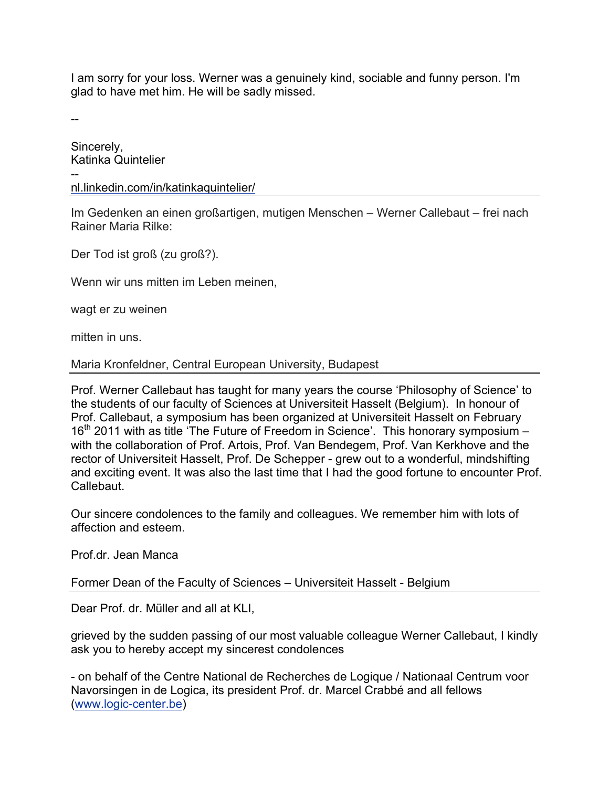I am sorry for your loss. Werner was a genuinely kind, sociable and funny person. I'm glad to have met him. He will be sadly missed.

--

Sincerely, Katinka Quintelier - nl.linkedin.com/in/katinkaquintelier/

Im Gedenken an einen großartigen, mutigen Menschen – Werner Callebaut – frei nach Rainer Maria Rilke:

Der Tod ist groß (zu groß?).

Wenn wir uns mitten im Leben meinen,

wagt er zu weinen

mitten in uns.

# Maria Kronfeldner, Central European University, Budapest

Prof. Werner Callebaut has taught for many years the course 'Philosophy of Science' to the students of our faculty of Sciences at Universiteit Hasselt (Belgium). In honour of Prof. Callebaut, a symposium has been organized at Universiteit Hasselt on February 16<sup>th</sup> 2011 with as title 'The Future of Freedom in Science'. This honorary symposium with the collaboration of Prof. Artois, Prof. Van Bendegem, Prof. Van Kerkhove and the rector of Universiteit Hasselt, Prof. De Schepper - grew out to a wonderful, mindshifting and exciting event. It was also the last time that I had the good fortune to encounter Prof. Callebaut.

Our sincere condolences to the family and colleagues. We remember him with lots of affection and esteem.

Prof.dr. Jean Manca

Former Dean of the Faculty of Sciences – Universiteit Hasselt - Belgium

Dear Prof. dr. Müller and all at KLI,

grieved by the sudden passing of our most valuable colleague Werner Callebaut, I kindly ask you to hereby accept my sincerest condolences

- on behalf of the Centre National de Recherches de Logique / Nationaal Centrum voor Navorsingen in de Logica, its president Prof. dr. Marcel Crabbé and all fellows (www.logic-center.be)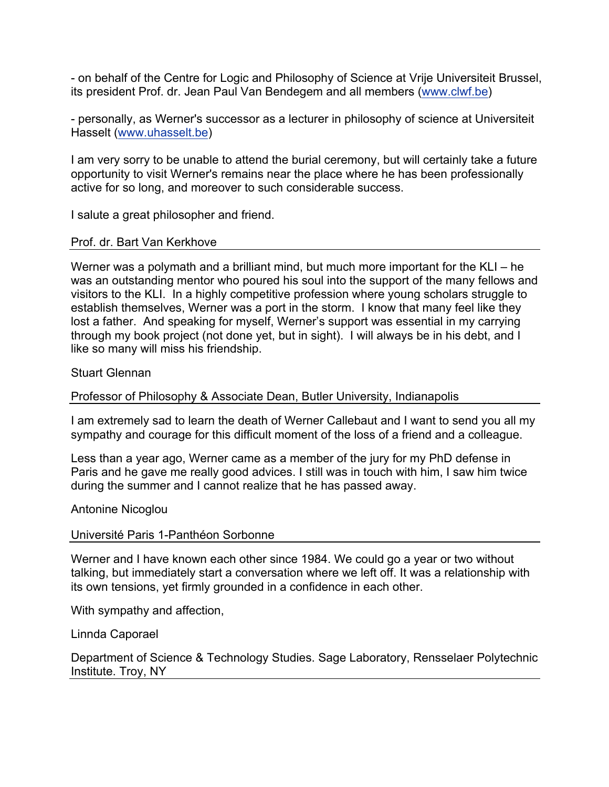- on behalf of the Centre for Logic and Philosophy of Science at Vrije Universiteit Brussel, its president Prof. dr. Jean Paul Van Bendegem and all members (www.clwf.be)

- personally, as Werner's successor as a lecturer in philosophy of science at Universiteit Hasselt (www.uhasselt.be)

I am very sorry to be unable to attend the burial ceremony, but will certainly take a future opportunity to visit Werner's remains near the place where he has been professionally active for so long, and moreover to such considerable success.

I salute a great philosopher and friend.

## Prof. dr. Bart Van Kerkhove

Werner was a polymath and a brilliant mind, but much more important for the KLI – he was an outstanding mentor who poured his soul into the support of the many fellows and visitors to the KLI. In a highly competitive profession where young scholars struggle to establish themselves, Werner was a port in the storm. I know that many feel like they lost a father. And speaking for myself, Werner's support was essential in my carrying through my book project (not done yet, but in sight). I will always be in his debt, and I like so many will miss his friendship.

Stuart Glennan

Professor of Philosophy & Associate Dean, Butler University, Indianapolis

I am extremely sad to learn the death of Werner Callebaut and I want to send you all my sympathy and courage for this difficult moment of the loss of a friend and a colleague.

Less than a year ago, Werner came as a member of the jury for my PhD defense in Paris and he gave me really good advices. I still was in touch with him, I saw him twice during the summer and I cannot realize that he has passed away.

Antonine Nicoglou

#### Université Paris 1-Panthéon Sorbonne

Werner and I have known each other since 1984. We could go a year or two without talking, but immediately start a conversation where we left off. It was a relationship with its own tensions, yet firmly grounded in a confidence in each other.

With sympathy and affection,

Linnda Caporael

Department of Science & Technology Studies. Sage Laboratory, Rensselaer Polytechnic Institute. Troy, NY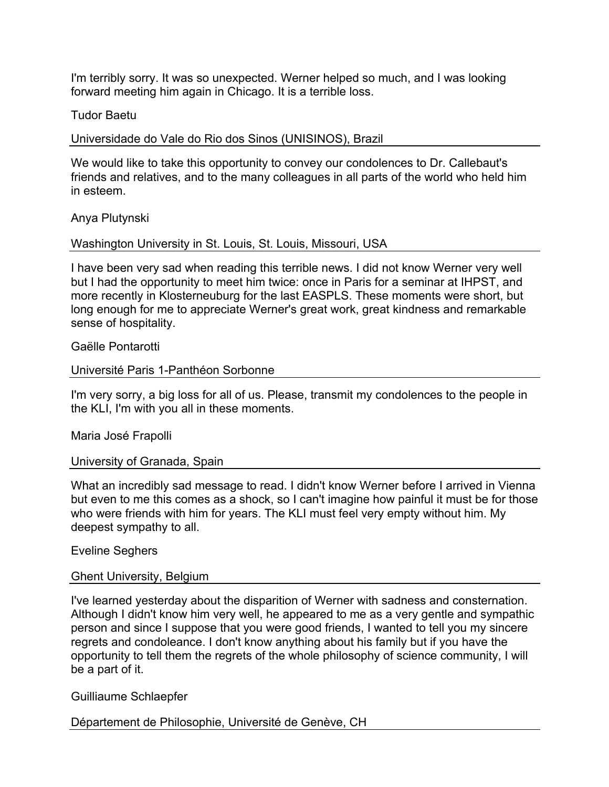I'm terribly sorry. It was so unexpected. Werner helped so much, and I was looking forward meeting him again in Chicago. It is a terrible loss.

### Tudor Baetu

Universidade do Vale do Rio dos Sinos (UNISINOS), Brazil

We would like to take this opportunity to convey our condolences to Dr. Callebaut's friends and relatives, and to the many colleagues in all parts of the world who held him in esteem.

## Anya Plutynski

## Washington University in St. Louis, St. Louis, Missouri, USA

I have been very sad when reading this terrible news. I did not know Werner very well but I had the opportunity to meet him twice: once in Paris for a seminar at IHPST, and more recently in Klosterneuburg for the last EASPLS. These moments were short, but long enough for me to appreciate Werner's great work, great kindness and remarkable sense of hospitality.

## Gaëlle Pontarotti

## Université Paris 1-Panthéon Sorbonne

I'm very sorry, a big loss for all of us. Please, transmit my condolences to the people in the KLI, I'm with you all in these moments.

Maria José Frapolli

#### University of Granada, Spain

What an incredibly sad message to read. I didn't know Werner before I arrived in Vienna but even to me this comes as a shock, so I can't imagine how painful it must be for those who were friends with him for years. The KLI must feel very empty without him. My deepest sympathy to all.

#### Eveline Seghers

#### Ghent University, Belgium

I've learned yesterday about the disparition of Werner with sadness and consternation. Although I didn't know him very well, he appeared to me as a very gentle and sympathic person and since I suppose that you were good friends, I wanted to tell you my sincere regrets and condoleance. I don't know anything about his family but if you have the opportunity to tell them the regrets of the whole philosophy of science community, I will be a part of it.

#### Guilliaume Schlaepfer

Département de Philosophie, Université de Genève, CH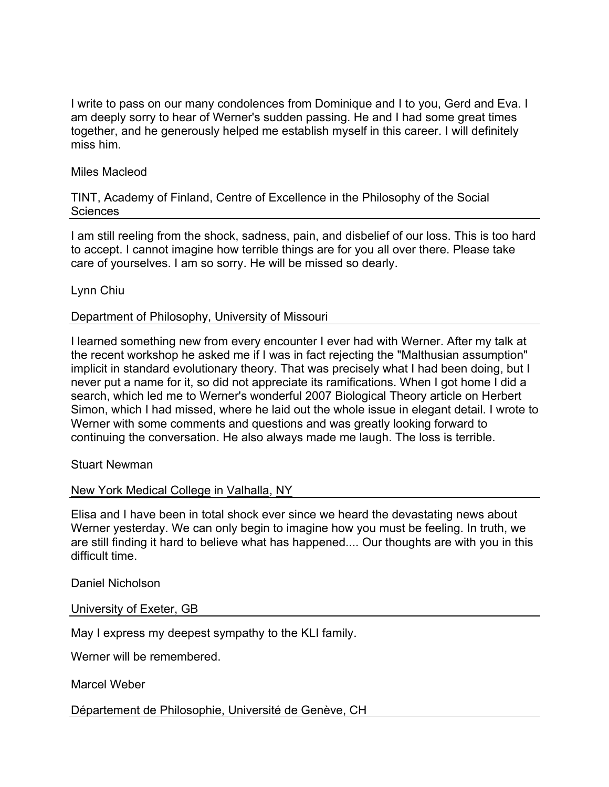I write to pass on our many condolences from Dominique and I to you, Gerd and Eva. I am deeply sorry to hear of Werner's sudden passing. He and I had some great times together, and he generously helped me establish myself in this career. I will definitely miss him.

## Miles Macleod

TINT, Academy of Finland, Centre of Excellence in the Philosophy of the Social **Sciences** 

I am still reeling from the shock, sadness, pain, and disbelief of our loss. This is too hard to accept. I cannot imagine how terrible things are for you all over there. Please take care of yourselves. I am so sorry. He will be missed so dearly.

Lynn Chiu

## Department of Philosophy, University of Missouri

I learned something new from every encounter I ever had with Werner. After my talk at the recent workshop he asked me if I was in fact rejecting the "Malthusian assumption" implicit in standard evolutionary theory. That was precisely what I had been doing, but I never put a name for it, so did not appreciate its ramifications. When I got home I did a search, which led me to Werner's wonderful 2007 Biological Theory article on Herbert Simon, which I had missed, where he laid out the whole issue in elegant detail. I wrote to Werner with some comments and questions and was greatly looking forward to continuing the conversation. He also always made me laugh. The loss is terrible.

Stuart Newman

# New York Medical College in Valhalla, NY

Elisa and I have been in total shock ever since we heard the devastating news about Werner yesterday. We can only begin to imagine how you must be feeling. In truth, we are still finding it hard to believe what has happened.... Our thoughts are with you in this difficult time.

Daniel Nicholson

University of Exeter, GB

May I express my deepest sympathy to the KLI family.

Werner will be remembered.

Marcel Weber

Département de Philosophie, Université de Genève, CH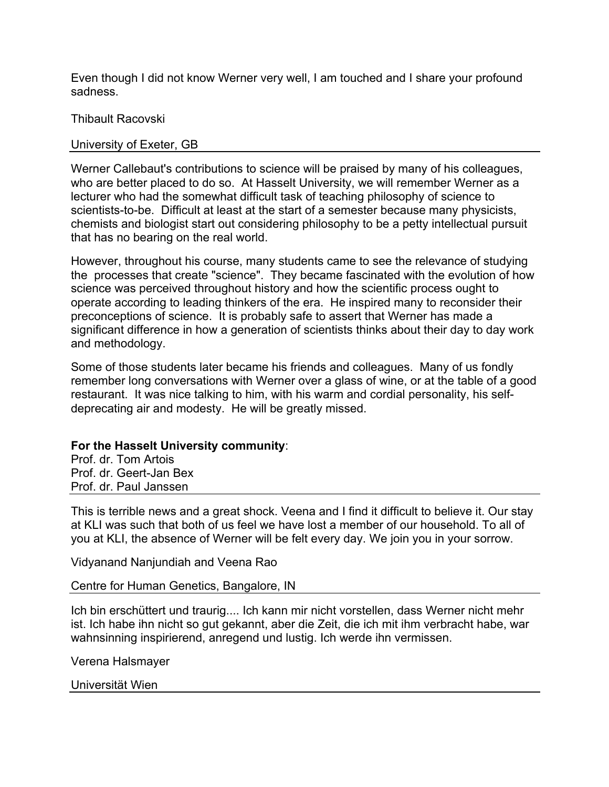Even though I did not know Werner very well, I am touched and I share your profound sadness.

# Thibault Racovski

# University of Exeter, GB

Werner Callebaut's contributions to science will be praised by many of his colleagues, who are better placed to do so. At Hasselt University, we will remember Werner as a lecturer who had the somewhat difficult task of teaching philosophy of science to scientists-to-be. Difficult at least at the start of a semester because many physicists, chemists and biologist start out considering philosophy to be a petty intellectual pursuit that has no bearing on the real world.

However, throughout his course, many students came to see the relevance of studying the processes that create "science". They became fascinated with the evolution of how science was perceived throughout history and how the scientific process ought to operate according to leading thinkers of the era. He inspired many to reconsider their preconceptions of science. It is probably safe to assert that Werner has made a significant difference in how a generation of scientists thinks about their day to day work and methodology.

Some of those students later became his friends and colleagues. Many of us fondly remember long conversations with Werner over a glass of wine, or at the table of a good restaurant. It was nice talking to him, with his warm and cordial personality, his selfdeprecating air and modesty. He will be greatly missed.

# **For the Hasselt University community**:

Prof. dr. Tom Artois Prof. dr. Geert-Jan Bex Prof. dr. Paul Janssen

This is terrible news and a great shock. Veena and I find it difficult to believe it. Our stay at KLI was such that both of us feel we have lost a member of our household. To all of you at KLI, the absence of Werner will be felt every day. We join you in your sorrow.

Vidyanand Nanjundiah and Veena Rao

# Centre for Human Genetics, Bangalore, IN

Ich bin erschüttert und traurig.... Ich kann mir nicht vorstellen, dass Werner nicht mehr ist. Ich habe ihn nicht so gut gekannt, aber die Zeit, die ich mit ihm verbracht habe, war wahnsinning inspirierend, anregend und lustig. Ich werde ihn vermissen.

Verena Halsmayer

Universität Wien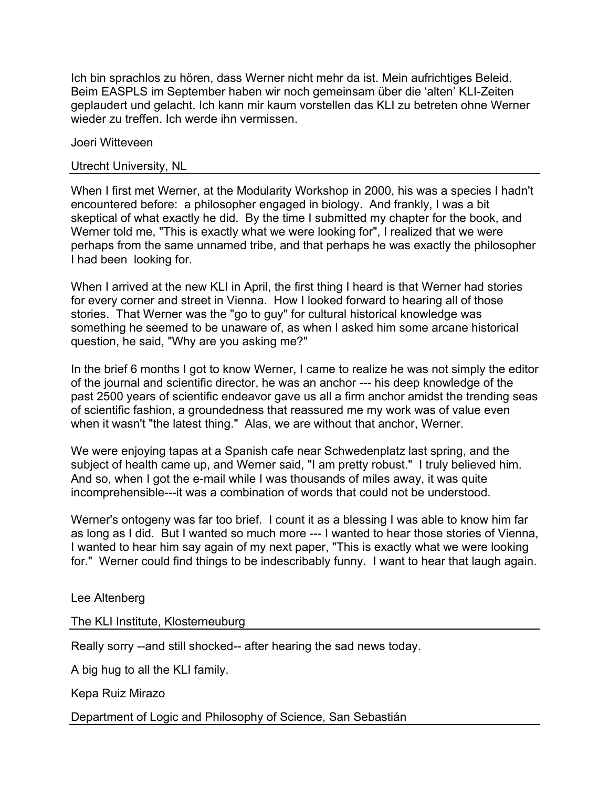Ich bin sprachlos zu hören, dass Werner nicht mehr da ist. Mein aufrichtiges Beleid. Beim EASPLS im September haben wir noch gemeinsam über die 'alten' KLI-Zeiten geplaudert und gelacht. Ich kann mir kaum vorstellen das KLI zu betreten ohne Werner wieder zu treffen. Ich werde ihn vermissen

Joeri Witteveen

## Utrecht University, NL

When I first met Werner, at the Modularity Workshop in 2000, his was a species I hadn't encountered before: a philosopher engaged in biology. And frankly, I was a bit skeptical of what exactly he did. By the time I submitted my chapter for the book, and Werner told me, "This is exactly what we were looking for", I realized that we were perhaps from the same unnamed tribe, and that perhaps he was exactly the philosopher I had been looking for.

When I arrived at the new KLI in April, the first thing I heard is that Werner had stories for every corner and street in Vienna. How I looked forward to hearing all of those stories. That Werner was the "go to guy" for cultural historical knowledge was something he seemed to be unaware of, as when I asked him some arcane historical question, he said, "Why are you asking me?"

In the brief 6 months I got to know Werner, I came to realize he was not simply the editor of the journal and scientific director, he was an anchor --- his deep knowledge of the past 2500 years of scientific endeavor gave us all a firm anchor amidst the trending seas of scientific fashion, a groundedness that reassured me my work was of value even when it wasn't "the latest thing." Alas, we are without that anchor, Werner.

We were enjoying tapas at a Spanish cafe near Schwedenplatz last spring, and the subject of health came up, and Werner said, "I am pretty robust." I truly believed him. And so, when I got the e-mail while I was thousands of miles away, it was quite incomprehensible---it was a combination of words that could not be understood.

Werner's ontogeny was far too brief. I count it as a blessing I was able to know him far as long as I did. But I wanted so much more --- I wanted to hear those stories of Vienna, I wanted to hear him say again of my next paper, "This is exactly what we were looking for." Werner could find things to be indescribably funny. I want to hear that laugh again.

Lee Altenberg

The KLI Institute, Klosterneuburg

Really sorry --and still shocked-- after hearing the sad news today.

A big hug to all the KLI family.

Kepa Ruiz Mirazo

Department of Logic and Philosophy of Science, San Sebastián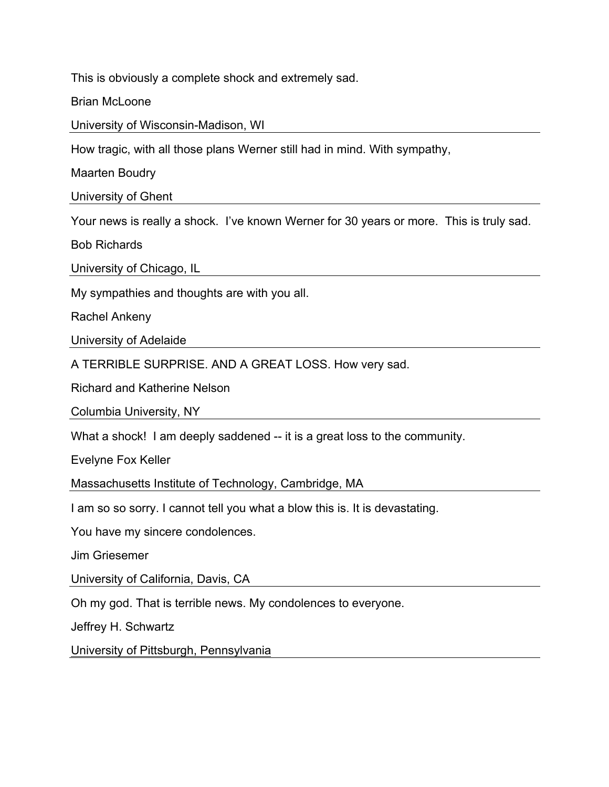This is obviously a complete shock and extremely sad.

Brian McLoone

University of Wisconsin-Madison, WI

How tragic, with all those plans Werner still had in mind. With sympathy,

Maarten Boudry

University of Ghent

Your news is really a shock. I've known Werner for 30 years or more. This is truly sad.

Bob Richards

University of Chicago, IL

My sympathies and thoughts are with you all.

Rachel Ankeny

University of Adelaide

A TERRIBLE SURPRISE. AND A GREAT LOSS. How very sad.

Richard and Katherine Nelson

Columbia University, NY

What a shock! I am deeply saddened -- it is a great loss to the community.

Evelyne Fox Keller

Massachusetts Institute of Technology, Cambridge, MA

I am so so sorry. I cannot tell you what a blow this is. It is devastating.

You have my sincere condolences.

Jim Griesemer

University of California, Davis, CA

Oh my god. That is terrible news. My condolences to everyone.

Jeffrey H. Schwartz

University of Pittsburgh, Pennsylvania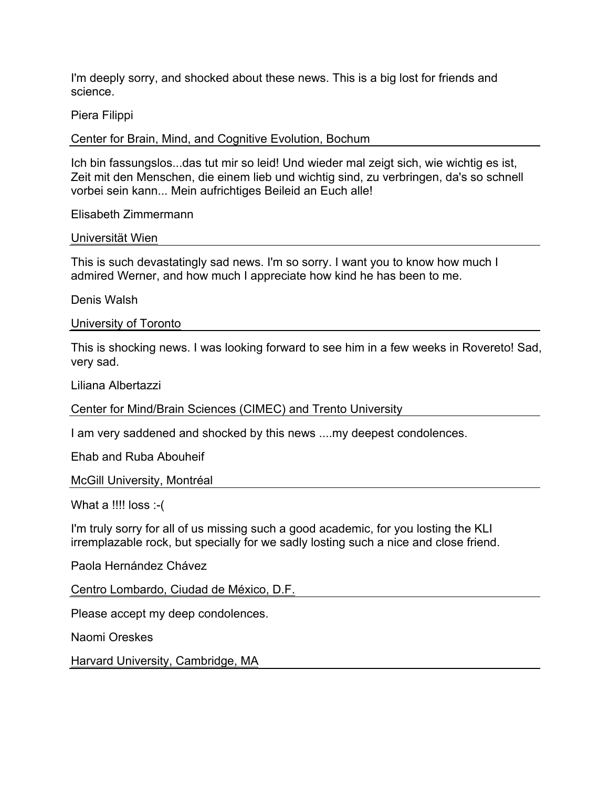I'm deeply sorry, and shocked about these news. This is a big lost for friends and science.

Piera Filippi

Center for Brain, Mind, and Cognitive Evolution, Bochum

Ich bin fassungslos...das tut mir so leid! Und wieder mal zeigt sich, wie wichtig es ist, Zeit mit den Menschen, die einem lieb und wichtig sind, zu verbringen, da's so schnell vorbei sein kann... Mein aufrichtiges Beileid an Euch alle!

Elisabeth Zimmermann

Universität Wien

This is such devastatingly sad news. I'm so sorry. I want you to know how much I admired Werner, and how much I appreciate how kind he has been to me.

Denis Walsh

University of Toronto

This is shocking news. I was looking forward to see him in a few weeks in Rovereto! Sad, very sad.

Liliana Albertazzi

Center for Mind/Brain Sciences (CIMEC) and Trento University

I am very saddened and shocked by this news ....my deepest condolences.

Ehab and Ruba Abouheif

McGill University, Montréal

What a !!!! loss :-(

I'm truly sorry for all of us missing such a good academic, for you losting the KLI irremplazable rock, but specially for we sadly losting such a nice and close friend.

Paola Hernández Chávez

Centro Lombardo, Ciudad de México, D.F.

Please accept my deep condolences.

Naomi Oreskes

Harvard University, Cambridge, MA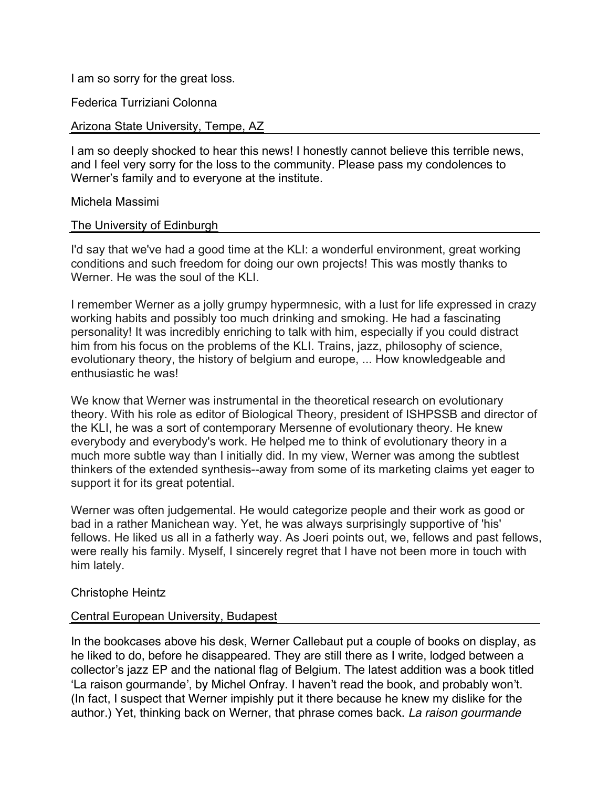I am so sorry for the great loss.

Federica Turriziani Colonna

## Arizona State University, Tempe, AZ

I am so deeply shocked to hear this news! I honestly cannot believe this terrible news, and I feel very sorry for the loss to the community. Please pass my condolences to Werner's family and to everyone at the institute.

### Michela Massimi

## The University of Edinburgh

I'd say that we've had a good time at the KLI: a wonderful environment, great working conditions and such freedom for doing our own projects! This was mostly thanks to Werner. He was the soul of the KLI.

I remember Werner as a jolly grumpy hypermnesic, with a lust for life expressed in crazy working habits and possibly too much drinking and smoking. He had a fascinating personality! It was incredibly enriching to talk with him, especially if you could distract him from his focus on the problems of the KLI. Trains, jazz, philosophy of science, evolutionary theory, the history of belgium and europe, ... How knowledgeable and enthusiastic he was!

We know that Werner was instrumental in the theoretical research on evolutionary theory. With his role as editor of Biological Theory, president of ISHPSSB and director of the KLI, he was a sort of contemporary Mersenne of evolutionary theory. He knew everybody and everybody's work. He helped me to think of evolutionary theory in a much more subtle way than I initially did. In my view, Werner was among the subtlest thinkers of the extended synthesis--away from some of its marketing claims yet eager to support it for its great potential.

Werner was often judgemental. He would categorize people and their work as good or bad in a rather Manichean way. Yet, he was always surprisingly supportive of 'his' fellows. He liked us all in a fatherly way. As Joeri points out, we, fellows and past fellows, were really his family. Myself, I sincerely regret that I have not been more in touch with him lately.

#### Christophe Heintz

# Central European University, Budapest

In the bookcases above his desk, Werner Callebaut put a couple of books on display, as he liked to do, before he disappeared. They are still there as I write, lodged between a collector's jazz EP and the national flag of Belgium. The latest addition was a book titled ʻLa raison gourmande', by Michel Onfray. I haven't read the book, and probably won't. (In fact, I suspect that Werner impishly put it there because he knew my dislike for the author.) Yet, thinking back on Werner, that phrase comes back. *La raison gourmande*